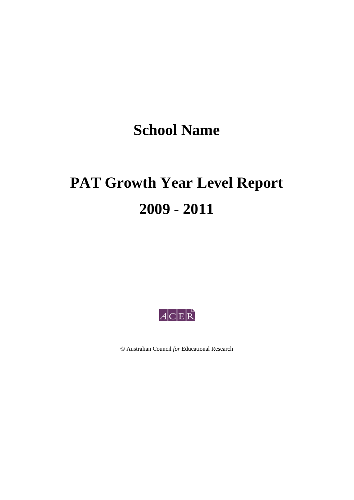# **School Name**

# **PAT Growth Year Level Report 2009 - 2011**



Australian Council *for* Educational Research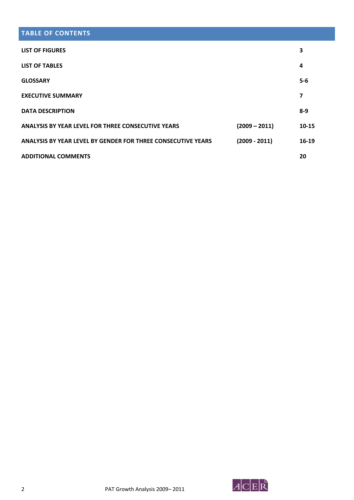# **TABLE OF CONTENTS**

| <b>LIST OF FIGURES</b>                                       |                 | 3         |
|--------------------------------------------------------------|-----------------|-----------|
| <b>LIST OF TABLES</b>                                        |                 | 4         |
| <b>GLOSSARY</b>                                              |                 | $5 - 6$   |
| <b>EXECUTIVE SUMMARY</b>                                     |                 | 7         |
| <b>DATA DESCRIPTION</b>                                      |                 | $8-9$     |
| ANALYSIS BY YEAR LEVEL FOR THREE CONSECUTIVE YEARS           | $(2009 - 2011)$ | $10 - 15$ |
| ANALYSIS BY YEAR LEVEL BY GENDER FOR THREE CONSECUTIVE YEARS | $(2009 - 2011)$ | $16-19$   |
| <b>ADDITIONAL COMMENTS</b>                                   |                 | 20        |

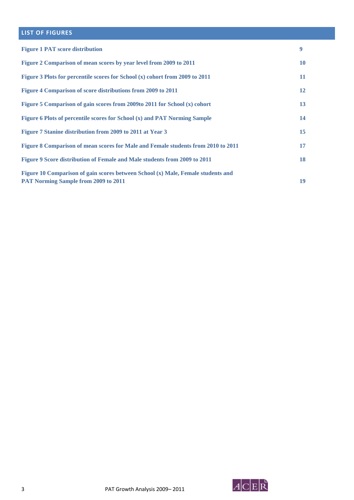### **LIST OF FIGURES**

| <b>Figure 1 PAT score distribution</b>                                                                                          | 9  |
|---------------------------------------------------------------------------------------------------------------------------------|----|
| Figure 2 Comparison of mean scores by year level from 2009 to 2011                                                              | 10 |
| Figure 3 Plots for percentile scores for School (x) cohort from 2009 to 2011                                                    | 11 |
| Figure 4 Comparison of score distributions from 2009 to 2011                                                                    | 12 |
| Figure 5 Comparison of gain scores from 2009to 2011 for School (x) cohort                                                       | 13 |
| Figure 6 Plots of percentile scores for School (x) and PAT Norming Sample                                                       | 14 |
| Figure 7 Stanine distribution from 2009 to 2011 at Year 3                                                                       | 15 |
| Figure 8 Comparison of mean scores for Male and Female students from 2010 to 2011                                               | 17 |
| Figure 9 Score distribution of Female and Male students from 2009 to 2011                                                       | 18 |
| Figure 10 Comparison of gain scores between School (x) Male, Female students and<br><b>PAT Norming Sample from 2009 to 2011</b> | 19 |

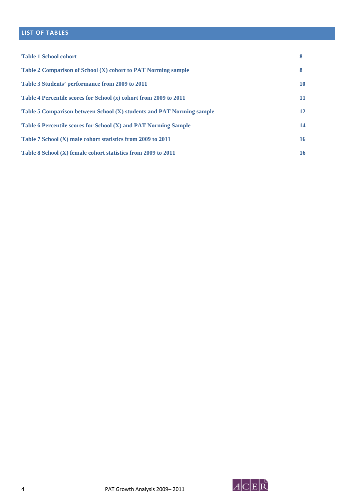# **LIST OF TABLES**

| <b>Table 1 School cohort</b>                                          | 8  |
|-----------------------------------------------------------------------|----|
| Table 2 Comparison of School (X) cohort to PAT Norming sample         | 8  |
| Table 3 Students' performance from 2009 to 2011                       | 10 |
| Table 4 Percentile scores for School (x) cohort from 2009 to 2011     | 11 |
| Table 5 Comparison between School (X) students and PAT Norming sample | 12 |
| Table 6 Percentile scores for School (X) and PAT Norming Sample       | 14 |
| Table 7 School (X) male cohort statistics from 2009 to 2011           | 16 |
| Table 8 School (X) female cohort statistics from 2009 to 2011         | 16 |

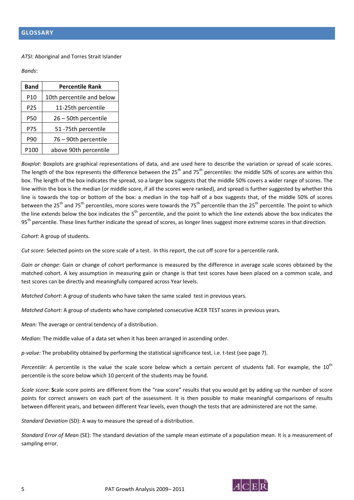#### *ATSI*: Aboriginal and Torres Strait Islander

*Bands*:

| <b>Band</b>     | <b>Percentile Rank</b>    |
|-----------------|---------------------------|
| P <sub>10</sub> | 10th percentile and below |
| P25             | 11-25th percentile        |
| P50             | 26 - 50th percentile      |
| P75             | 51 -75th percentile       |
| P90             | 76 - 90th percentile      |
| P100            | above 90th percentile     |

*Boxplot*: Boxplots are graphical representations of data, and are used here to describe the variation or spread of scale scores. The length of the box represents the difference between the  $25<sup>th</sup>$  and 75<sup>th</sup> percentiles: the middle 50% of scores are within this box. The length of the box indicates the spread, so a larger box suggests that the middle 50% covers a wider range of scores. The line within the box is the median (or middle score, if all the scores were ranked), and spread is further suggested by whether this line is towards the top or bottom of the box: a median in the top half of a box suggests that, of the middle 50% of scores between the 25<sup>th</sup> and 75<sup>th</sup> percentiles, more scores were towards the 75<sup>th</sup> percentile than the 25<sup>th</sup> percentile. The point to which the line extends below the box indicates the  $5<sup>th</sup>$  percentile, and the point to which the line extends above the box indicates the 95<sup>th</sup> percentile. These lines further indicate the spread of scores, as longer lines suggest more extreme scores in that direction.

*Cohort*: A group of students.

*Cut score:* Selected points on the score scale of a test. In this report, the cut off score for a percentile rank.

*Gain or change*: Gain or change of cohort performance is measured by the difference in average scale scores obtained by the matched cohort. A key assumption in measuring gain or change is that test scores have been placed on a common scale, and test scores can be directly and meaningfully compared across Year levels.

*Matched Cohort*: A group of students who have taken the same scaled test in previous years.

*Matched Cohort*: A group of students who have completed consecutive ACER TEST scores in previous years.

*Mean:* The average or central tendency of a distribution.

*Median:* The middle value of a data set when it has been arranged in ascending order.

*p‐value:* The probability obtained by performing the statistical significance test, i.e. t‐test (see page 7).

Percentile: A percentile is the value the scale score below which a certain percent of students fall. For example, the 10<sup>th</sup> percentile is the score below which 10 percent of the students may be found.

*Scale score*: **S**cale score points are different from the "raw score" results that you would get by adding up the number of score points for correct answers on each part of the assessment. It is then possible to make meaningful comparisons of results between different years, and between different Year levels, even though the tests that are administered are not the same.

*Standard Deviation* (SD): A way to measure the spread of a distribution.

*Standard Error of Mean* (SE): The standard deviation of the sample mean estimate of a population mean. It is a measurement of sampling error.

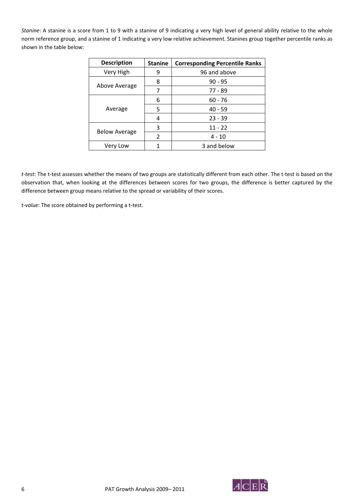*Stanine*: A stanine is a score from 1 to 9 with a stanine of 9 indicating a very high level of general ability relative to the whole norm reference group, and a stanine of 1 indicating a very low relative achievement. Stanines group together percentile ranks as shown in the table below:

| <b>Description</b>   | <b>Stanine</b> | <b>Corresponding Percentile Ranks</b> |  |  |  |  |  |  |
|----------------------|----------------|---------------------------------------|--|--|--|--|--|--|
| Very High            | 9              | 96 and above                          |  |  |  |  |  |  |
|                      | 8              | $90 - 95$                             |  |  |  |  |  |  |
| Above Average        |                | 77 - 89                               |  |  |  |  |  |  |
|                      | 6              | $60 - 76$                             |  |  |  |  |  |  |
| Average              | 5              | $40 - 59$                             |  |  |  |  |  |  |
|                      | 4              | $23 - 39$                             |  |  |  |  |  |  |
| <b>Below Average</b> | 3              | $11 - 22$                             |  |  |  |  |  |  |
|                      | 2              | $4 - 10$                              |  |  |  |  |  |  |
| Very Low             |                | 3 and below                           |  |  |  |  |  |  |

*t‐test*: The t‐test assesses whether the means of two groups are statistically different from each other. The t‐test is based on the observation that, when looking at the differences between scores for two groups, the difference is better captured by the difference between group means relative to the spread or variability of their scores.

*t‐value:* The score obtained by performing a t‐test.

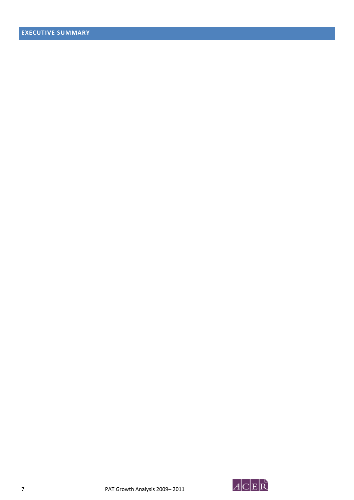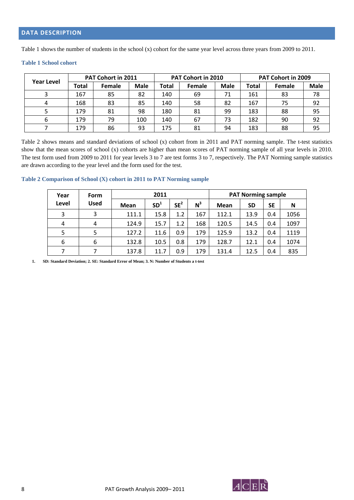Table 1 shows the number of students in the school (x) cohort for the same year level across three years from 2009 to 2011.

|                   |       | <b>PAT Cohort in 2011</b> |             |       | PAT Cohort in 2010 |             | PAT Cohort in 2009 |               |             |  |
|-------------------|-------|---------------------------|-------------|-------|--------------------|-------------|--------------------|---------------|-------------|--|
| <b>Year Level</b> | Total | Female                    | <b>Male</b> | Total | Female             | <b>Male</b> | Total              | <b>Female</b> | <b>Male</b> |  |
|                   | 167   | 85                        | 82          | 140   | 69                 | 71          | 161                | 83            | 78          |  |
|                   | 168   | 83                        | 85          | 140   | 58                 | 82          | 167                | 75            | 92          |  |
|                   | 179   | 81                        | 98          | 180   | 81                 | 99          | 183                | 88            | 95          |  |
|                   | 179   | 79                        | 100         | 140   | 67                 | 73          | 182                | 90            | 92          |  |
|                   | 179   | 86                        | 93          | 175   | 81                 | 94          | 183                | 88            | 95          |  |

#### **Table 1 School cohort**

Table 2 shows means and standard deviations of school (x) cohort from in 2011 and PAT norming sample. The t-test statistics show that the mean scores of school (x) cohorts are higher than mean scores of PAT norming sample of all year levels in 2010. The test form used from 2009 to 2011 for year levels 3 to 7 are test forms 3 to 7, respectively. The PAT Norming sample statistics are drawn according to the year level and the form used for the test.

#### **Table 2 Comparison of School (X) cohort in 2011 to PAT Norming sample**

| Year  | <b>Form</b> |       | 2011            |                 |       | <b>PAT Norming sample</b> |           |           |      |  |  |  |
|-------|-------------|-------|-----------------|-----------------|-------|---------------------------|-----------|-----------|------|--|--|--|
| Level | <b>Used</b> | Mean  | SD <sup>1</sup> | SE <sup>2</sup> | $N^3$ | Mean                      | <b>SD</b> | <b>SE</b> | N    |  |  |  |
| 3     | 3           | 111.1 | 15.8            | 1.2             | 167   | 112.1                     | 13.9      | 0.4       | 1056 |  |  |  |
| 4     | 4           | 124.9 | 15.7            | 1.2             | 168   | 120.5                     | 14.5      | 0.4       | 1097 |  |  |  |
| 5     | 5           | 127.2 | 11.6            | 0.9             | 179   | 125.9                     | 13.2      | 0.4       | 1119 |  |  |  |
| 6     | 6           | 132.8 | 10.5            | 0.8             | 179   | 128.7                     | 12.1      | 0.4       | 1074 |  |  |  |
|       |             | 137.8 | 11.7            | 0.9             | 179   | 131.4                     | 12.5      | 0.4       | 835  |  |  |  |

**1. SD: Standard Deviation; 2. SE: Standard Error of Mean; 3. N: Number of Students a t-test** 

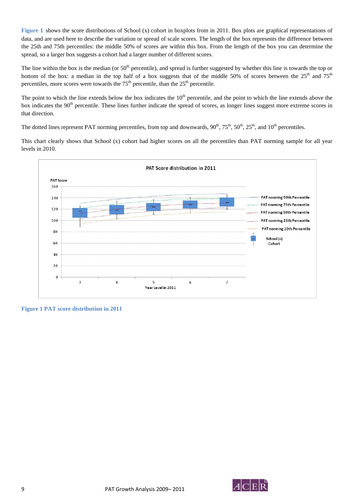**Figure 1** shows the score distributions of School (x) cohort in boxplots from in 2011. Box plots are graphical representations of data, and are used here to describe the variation or spread of scale scores. The length of the box represents the difference between the 25th and 75th percentiles: the middle 50% of scores are within this box. From the length of the box you can determine the spread, so a larger box suggests a cohort had a larger number of different scores.

The line within the box is the median (or  $50<sup>th</sup>$  percentile), and spread is further suggested by whether this line is towards the top or bottom of the box: a median in the top half of a box suggests that of the middle 50% of scores between the  $25<sup>th</sup>$  and  $75<sup>th</sup>$ percentiles, more scores were towards the  $75<sup>th</sup>$  percentile, than the  $25<sup>th</sup>$  percentile.

The point to which the line extends below the box indicates the 10<sup>th</sup> percentile, and the point to which the line extends above the box indicates the 90<sup>th</sup> percentile. These lines further indicate the spread of scores, as longer lines suggest more extreme scores in that direction.

The dotted lines represent PAT norming percentiles, from top and downwards,  $90^{th}$ ,  $75^{th}$ ,  $50^{th}$ ,  $25^{th}$ , and  $10^{th}$  percentiles.

This chart clearly shows that School (x) cohort had higher scores on all the percentiles than PAT norming sample for all year levels in 2010.



**Figure 1 PAT score distribution in 2011** 

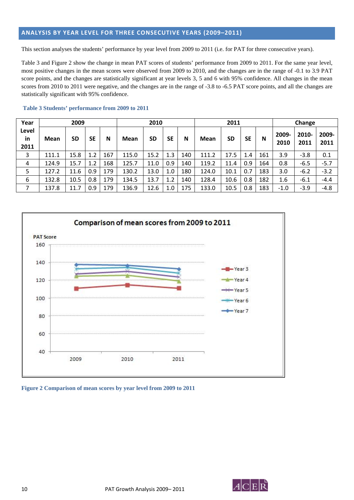#### **ANALYSIS BY YEAR LEVEL FOR THREE CONSECUTIVE YEARS (2009–2011)**

This section analyses the students' performance by year level from 2009 to 2011 (i.e. for PAT for three consecutive years).

Table 3 and Figure 2 show the change in mean PAT scores of students' performance from 2009 to 2011. For the same year level, most positive changes in the mean scores were observed from 2009 to 2010, and the changes are in the range of -0.1 to 3.9 PAT score points, and the changes are statistically significant at year levels 3, 5 and 6 with 95% confidence. All changes in the mean scores from 2010 to 2011 were negative, and the changes are in the range of -3.8 to -6.5 PAT score points, and all the changes are statistically significant with 95% confidence.

| Year                |       | 2009      |           |     |             | 2010      |     |     |             | 2011      |           |     |               | Change        |               |  |  |
|---------------------|-------|-----------|-----------|-----|-------------|-----------|-----|-----|-------------|-----------|-----------|-----|---------------|---------------|---------------|--|--|
| Level<br>in<br>2011 | Mean  | <b>SD</b> | <b>SE</b> | N   | <b>Mean</b> | <b>SD</b> | SE  | N   | <b>Mean</b> | <b>SD</b> | <b>SE</b> | N   | 2009-<br>2010 | 2010-<br>2011 | 2009-<br>2011 |  |  |
| 3                   | 111.1 | 15.8      | 1.2       | 167 | 115.0       | 15.2      | 1.3 | 140 | 111.2       | 17.5      | 1.4       | 161 | 3.9           | $-3.8$        | 0.1           |  |  |
| 4                   | 124.9 | 15.7      | 1.2       | 168 | 125.7       | 11.0      | 0.9 | 140 | 119.2       | 11.4      | 0.9       | 164 | 0.8           | $-6.5$        | $-5.7$        |  |  |
|                     | 127.2 | 11.6      | 0.9       | 179 | 130.2       | 13.0      | 1.0 | 180 | 124.0       | 10.1      | 0.7       | 183 | 3.0           | $-6.2$        | $-3.2$        |  |  |
| 6                   | 132.8 | 10.5      | 0.8       | 179 | 134.5       | 13.7      | 1.2 | 140 | 128.4       | 10.6      | 0.8       | 182 | 1.6           | $-6.1$        | $-4.4$        |  |  |
|                     | 137.8 | 11.7      | 0.9       | 179 | 136.9       | 12.6      | 1.0 | 175 | 133.0       | 10.5      | 0.8       | 183 | $-1.0$        | $-3.9$        | $-4.8$        |  |  |

#### **Table 3 Students' performance from 2009 to 2011**



**Figure 2 Comparison of mean scores by year level from 2009 to 2011** 

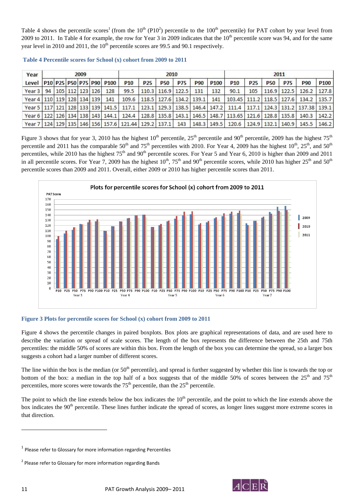Table 4 shows the percentile scores<sup>1</sup> (from the  $10^{th}$  (P10<sup>2</sup>) percentile to the  $100^{th}$  percentile) for PAT cohort by year level from 2009 to 2011. In Table 4 for example, the row for Year 3 in 2009 indicates that the  $10<sup>th</sup>$  percentile score was 94, and for the same year level in 2010 and 2011, the  $10<sup>th</sup>$  percentile scores are 99.5 and 90.1 respectively.

| Year                                         |    |  | 2009        |                     |                  | 2010                                                                  |            |             |                                       |            |                  | 2011                                                   |                 |                   |            |                                        |                  |
|----------------------------------------------|----|--|-------------|---------------------|------------------|-----------------------------------------------------------------------|------------|-------------|---------------------------------------|------------|------------------|--------------------------------------------------------|-----------------|-------------------|------------|----------------------------------------|------------------|
| Level                                        |    |  |             | P10 P25 P50 P75 P90 | P <sub>100</sub> | P <sub>10</sub>                                                       | <b>P25</b> | <b>P50</b>  | <b>P75</b>                            | <b>P90</b> | P <sub>100</sub> | P <sub>10</sub>                                        | P <sub>25</sub> | <b>P50</b>        | <b>P75</b> | <b>P90</b>                             | P <sub>100</sub> |
| Year <sub>3</sub>                            | 94 |  | 105 112 123 | 126                 | 128              | 99.5                                                                  |            |             | $110.3$ 116.9 122.5                   | 131        | 132              | 90.1                                                   | 105             | 116.9 122.5       |            | 126.2                                  | 127.8            |
| Year 4   110   119   128   134   139         |    |  |             |                     | 141              | 109.6                                                                 |            |             | 118.5   127.6   134.2   139.1         |            | 141              | 103.45   111.2   118.5   127.6                         |                 |                   |            | 134.2                                  | 135.7            |
| Year 5   117   121   128   133   139   141.5 |    |  |             |                     |                  | 117.1                                                                 |            |             | 123.1   129.3   138.5   146.4   147.2 |            |                  | 111.4                                                  |                 |                   |            | 117.1   124.3   131.2   137.38   139.1 |                  |
| Year 6   122   126   134   138   143   144.1 |    |  |             |                     |                  | 124.4                                                                 |            | 128.8 135.8 |                                       |            |                  | 143.1   146.5   148.7   113.65   121.6   128.8   135.8 |                 |                   |            | 140.3                                  | 142.2            |
|                                              |    |  |             |                     |                  | Year 7   124   129   135   146   156   157.6   121.44   129.2   137.1 |            |             | 143                                   |            | 148.3 149.5      | 120.6                                                  |                 | 124.9 132.1 140.9 |            | 145.5                                  | 146.2            |

|  | Table 4 Percentile scores for School (x) cohort from 2009 to 2011 |  |  |  |  |  |
|--|-------------------------------------------------------------------|--|--|--|--|--|
|--|-------------------------------------------------------------------|--|--|--|--|--|

Figure 3 shows that for year 3, 2010 has the highest  $10^{th}$  percentile,  $25^{th}$  percentile and  $90^{th}$  percentile, 2009 has the highest  $75^{th}$ percentile and 2011 has the comparable  $50<sup>th</sup>$  and  $75<sup>th</sup>$  percentiles with 2010. For Year 4, 2009 has the highest  $10<sup>th</sup>$ ,  $25<sup>th</sup>$ , and  $50<sup>th</sup>$ percentiles, while 2010 has the highest  $75<sup>th</sup>$  and  $90<sup>th</sup>$  percentile scores. For Year 5 and Year 6, 2010 is higher than 2009 and 2011 in all percentile scores. For Year 7, 2009 has the highest  $10^{th}$ ,  $75^{th}$  and  $90^{th}$  percentile scores, while 2010 has higher  $25^{th}$  and  $50^{th}$ percentile scores than 2009 and 2011. Overall, either 2009 or 2010 has higher percentile scores than 2011.



#### **Figure 3 Plots for percentile scores for School (x) cohort from 2009 to 2011**

Figure 4 shows the percentile changes in paired boxplots. Box plots are graphical representations of data, and are used here to describe the variation or spread of scale scores. The length of the box represents the difference between the 25th and 75th percentiles: the middle 50% of scores are within this box. From the length of the box you can determine the spread, so a larger box suggests a cohort had a larger number of different scores.

The line within the box is the median (or  $50<sup>th</sup>$  percentile), and spread is further suggested by whether this line is towards the top or bottom of the box: a median in the top half of a box suggests that of the middle 50% of scores between the  $25<sup>th</sup>$  and  $75<sup>th</sup>$ percentiles, more scores were towards the  $75<sup>th</sup>$  percentile, than the  $25<sup>th</sup>$  percentile.

The point to which the line extends below the box indicates the 10<sup>th</sup> percentile, and the point to which the line extends above the box indicates the 90<sup>th</sup> percentile. These lines further indicate the spread of scores, as longer lines suggest more extreme scores in that direction.

<u> Andrew Maria (1989)</u>



 $1$  Please refer to Glossary for more information regarding Percentiles

<sup>&</sup>lt;sup>2</sup> Please refer to Glossary for more information regarding Bands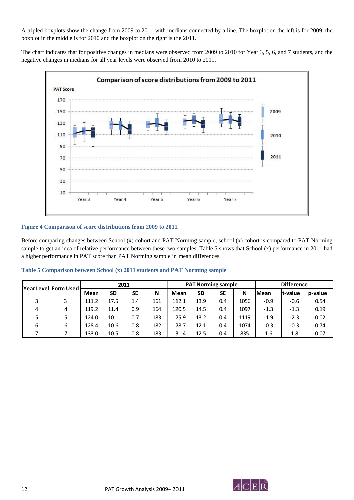A tripled boxplots show the change from 2009 to 2011 with medians connected by a line. The boxplot on the left is for 2009, the boxplot in the middle is for 2010 and the boxplot on the right is the 2011.

The chart indicates that for positive changes in medians were observed from 2009 to 2010 for Year 3, 5, 6, and 7 students, and the negative changes in medians for all year levels were observed from 2010 to 2011.



#### **Figure 4 Comparison of score distributions from 2009 to 2011**

Before comparing changes between School (x) cohort and PAT Norming sample, school (x) cohort is compared to PAT Norming sample to get an idea of relative performance between these two samples. Table 5 shows that School (x) performance in 2011 had a higher performance in PAT score than PAT Norming sample in mean differences.

|   | Year Level   Form Used |       | 2011      |           |     |       |           | <b>PAT Norming sample</b> |      | <b>Difference</b> |          |          |  |
|---|------------------------|-------|-----------|-----------|-----|-------|-----------|---------------------------|------|-------------------|----------|----------|--|
|   |                        | Mean  | <b>SD</b> | <b>SE</b> | N   | Mean  | <b>SD</b> | SE                        | Ν    | <b>Mean</b>       | lt-value | lp-value |  |
|   |                        | 111.2 | 17.5      | 1.4       | 161 | 112.1 | 13.9      | 0.4                       | 1056 | $-0.9$            | $-0.6$   | 0.54     |  |
| 4 | 4                      | 119.2 | 11.4      | 0.9       | 164 | 120.5 | 14.5      | 0.4                       | 1097 | $-1.3$            | $-1.3$   | 0.19     |  |
|   |                        | 124.0 | 10.1      | 0.7       | 183 | 125.9 | 13.2      | 0.4                       | 1119 | $-1.9$            | $-2.3$   | 0.02     |  |
| 6 | 6                      | 128.4 | 10.6      | 0.8       | 182 | 128.7 | 12.1      | 0.4                       | 1074 | $-0.3$            | $-0.3$   | 0.74     |  |
|   |                        | 133.0 | 10.5      | 0.8       | 183 | 131.4 | 12.5      | 0.4                       | 835  | 1.6               | 1.8      | 0.07     |  |

**Table 5 Comparison between School (x) 2011 students and PAT Norming sample** 

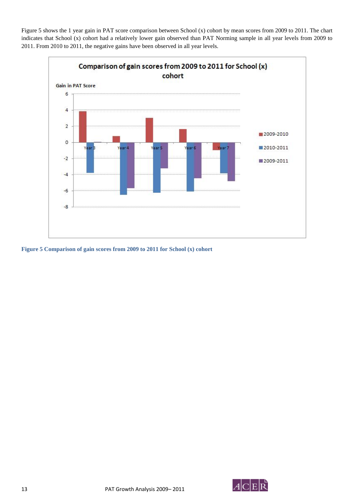Figure 5 shows the 1 year gain in PAT score comparison between School (x) cohort by mean scores from 2009 to 2011. The chart indicates that School (x) cohort had a relatively lower gain observed than PAT Norming sample in all year levels from 2009 to 2011. From 2010 to 2011, the negative gains have been observed in all year levels.



**Figure 5 Comparison of gain scores from 2009 to 2011 for School (x) cohort** 

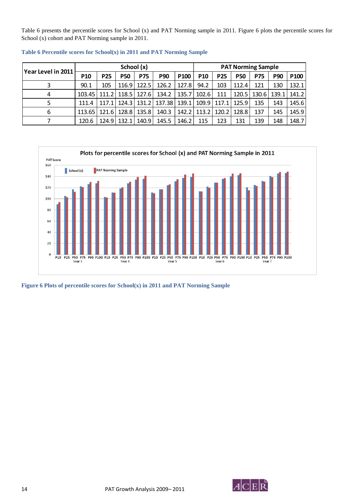Table 6 presents the percentile scores for School (x) and PAT Norming sample in 2011. Figure 6 plots the percentile scores for School (x) cohort and PAT Norming sample in 2011.

| Year Level in 2011 |            |            | School (x) |               |            |                  |                 | <b>PAT Norming Sample</b> |            |            |             |                  |
|--------------------|------------|------------|------------|---------------|------------|------------------|-----------------|---------------------------|------------|------------|-------------|------------------|
|                    | <b>P10</b> | <b>P25</b> | <b>P50</b> | <b>P75</b>    | <b>P90</b> | P <sub>100</sub> | P <sub>10</sub> | <b>P25</b>                | <b>P50</b> | <b>P75</b> | <b>P90</b>  | P <sub>100</sub> |
|                    | 90.1       | 105        |            | 116.9   122.5 | 126.2      | 127.8            | 94.2            | 103                       | 112.4      | 121        | 130         | 132.1            |
| 4                  | 103.45     | 111.2      |            | 118.5   127.6 | 134.2      | 135.7            | 102.6           | 111                       | 120.5      |            | 130.6 139.1 | 141.2            |
|                    | 111.4      | 117.1      |            | 124.3   131.2 | 137.38     | 139.1            | 109.9           | 117.1                     | 125.9      | 135        | 143         | 145.6            |
| 6                  | 113.651    | 121.6      | 128.81     | 135.8         | 140.3      |                  | 142.2 113.2     | 120.21                    | 128.8      | 137        | 145         | 145.9            |
|                    | 120.6      | 124.9      | 132.1      | 140.9         | 145.5      | 146.2            | 115             | 123                       | 131        | 139        | 148         | 148.7            |

**Table 6 Percentile scores for School(x) in 2011 and PAT Norming Sample** 



**Figure 6 Plots of percentile scores for School(x) in 2011 and PAT Norming Sample** 

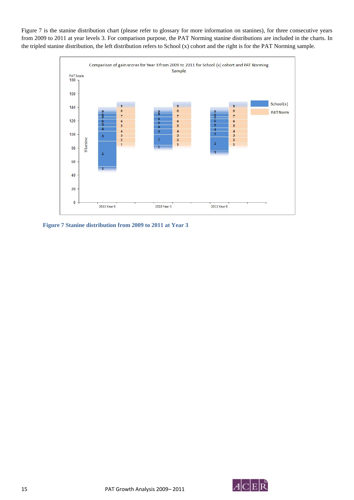Figure 7 is the stanine distribution chart (please refer to glossary for more information on stanines), for three consecutive years from 2009 to 2011 at year levels 3. For comparison purpose, the PAT Norming stanine distributions are included in the charts. In the tripled stanine distribution, the left distribution refers to School (x) cohort and the right is for the PAT Norming sample.



**Figure 7 Stanine distribution from 2009 to 2011 at Year 3** 

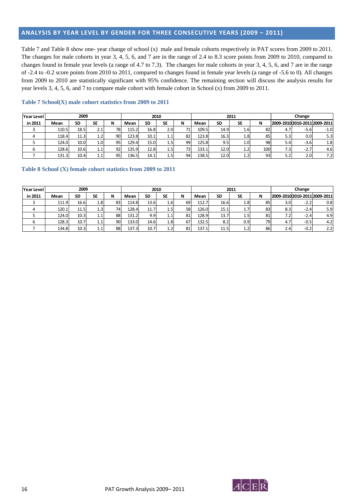#### **ANALYSIS BY YEAR LEVEL BY GENDER FOR THREE CONSECUTIVE YEARS (2009 – 2011)**

Table 7 and Table 8 show one- year change of school (x) male and female cohorts respectively in PAT scores from 2009 to 2011. The changes for male cohorts in year 3, 4, 5, 6, and 7 are in the range of 2.4 to 8.3 score points from 2009 to 2010, compared to changes found in female year levels (a range of 4.7 to 7.3). The changes for male cohorts in year 3, 4, 5, 6, and 7 are in the range of -2.4 to -0.2 score points from 2010 to 2011, compared to changes found in female year levels (a range of -5.6 to 0). All changes from 2009 to 2010 are statistically significant with 95% confidence. The remaining section will discuss the analysis results for year levels 3, 4, 5, 6, and 7 to compare male cohort with female cohort in School (x) from 2009 to 2011.

| Year Level |       | 2010      |                  |    |       | 2011      |                  |     |       | Change |                  |     |     |        |                               |
|------------|-------|-----------|------------------|----|-------|-----------|------------------|-----|-------|--------|------------------|-----|-----|--------|-------------------------------|
| in 2011    | Mean  | <b>SD</b> | SE               | N  | Mean  | <b>SD</b> | <b>SE</b>        | N   | Mean  | SD     | SE               | N   |     |        | 2009-2010 2010-2011 2009-2011 |
|            | 110.5 | 18.5      | 2.1              | 78 | 115.2 | 16.8      | 2.0              | 71. | 109.5 | 14.9   | 1.6              | 82  | 4.7 | $-5.6$ | $-1.0$                        |
|            | 118.4 | 11.3      | 1.2              | 90 | 123.8 | 10.1      | 1.1              | 82  | 123.8 | 16.3   | 1.8 <sup>1</sup> | 85  | 5.3 | 0.0    | 5.3                           |
|            | 124.0 | 10.0      | 1.0 <sub>l</sub> | 95 | 129.4 | 15.0      | 1.5              | 99  | 125.8 | 9.5    | 1.0 <sup>1</sup> | 98  | 5.4 | $-3.6$ | 1.8                           |
|            | 128.6 | 10.6      | 1.1              | 92 | 135.9 | 12.8      | 1.5 <sub>l</sub> | 73  | 133.1 | 12.0   | $1.2^{\circ}$    | 100 | 7.3 | $-2.7$ | 4.6                           |
|            | 131.3 | 10.4      | 1.1              | 95 | 136.5 | 14.1      | 1.5              | 94  | 138.5 | 12.0   | $1.2^{\circ}$    | 93  | 5.2 | 2.0    | 7.2                           |

#### **Table 7 School(X) male cohort statistics from 2009 to 2011**

#### **Table 8 School (X) female cohort statistics from 2009 to 2011**

| Year Level |       | 2010 |           |    |       |           |               | 2011 | Change       |      |                  |    |                  |        |                               |
|------------|-------|------|-----------|----|-------|-----------|---------------|------|--------------|------|------------------|----|------------------|--------|-------------------------------|
| in 2011    | Mean  | SD   | <b>SE</b> | N  | Mean  | <b>SD</b> | SE            | N    | Mean         | SD   | SE               | N  |                  |        | 2009-2010 2010-2011 2009-2011 |
|            | 111.9 | 16.6 | 1.8       | 83 | 114.8 | 13.6      | 1.6!          | 69   | 112.<br>- 71 | 16.6 | 1.8              | 85 | 3.0 <sub>l</sub> | $-2.2$ | 0.8                           |
| 4          | 120.1 | 11.5 | 1.3       | 74 | 128.4 | 11.7      | 1.5           | 58   | 126.0        | 15.1 | 1.7              | 83 | 8.3              | $-2.4$ | 5.9                           |
|            | 124.0 | 10.3 | 1.1       | 88 | 131.2 | 9.9       | 1.1           | 81   | 128.9        | 13.7 | 1.5              | 81 | 7.2              | $-2.4$ | 4.9 <sup>1</sup>              |
|            | 128.3 | 10.7 | 1.1       | 90 | 133.0 | 14.6      | 1.8           | 67   | 132.5        | 8.2  | 0.9 <sub>l</sub> | 79 | 4.7              | $-0.5$ | 4.2                           |
|            | 134.8 | 10.3 | 1.1       | 88 | 137.3 | 10.7      | $1.2^{\circ}$ | 81   | 137.1        | 11.5 | $1.2^{\circ}$    | 86 | 2.4              | $-0.2$ | 2.2                           |

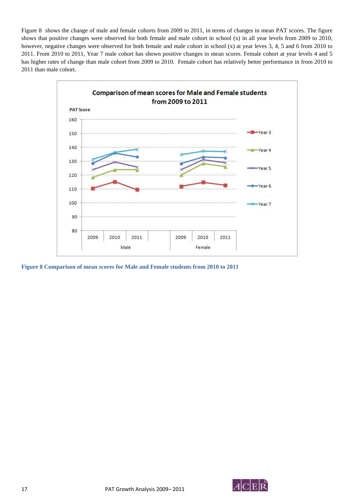Figure 8 shows the change of male and female cohorts from 2009 to 2011, in terms of changes in mean PAT scores. The figure shows that positive changes were observed for both female and male cohort in school (x) in all year levels from 2009 to 2010, however, negative changes were observed for both female and male cohort in school (x) at year leves 3, 4, 5 and 6 from 2010 to 2011. From 2010 to 2011, Year 7 male cohort has shown positive changes in mean scores. Female cohort at year levels 4 and 5 has higher rates of change than male cohort from 2009 to 2010. Female cohort has relatively better performance in from 2010 to 2011 than male cohort.



**Figure 8 Comparison of mean scores for Male and Female students from 2010 to 2011** 

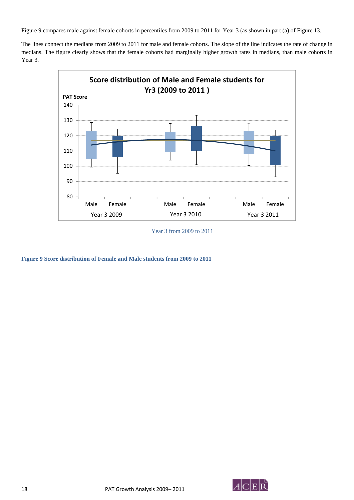Figure 9 compares male against female cohorts in percentiles from 2009 to 2011 for Year 3 (as shown in part (a) of Figure 13.

The lines connect the medians from 2009 to 2011 for male and female cohorts. The slope of the line indicates the rate of change in medians. The figure clearly shows that the female cohorts had marginally higher growth rates in medians, than male cohorts in Year 3.



Year 3 from 2009 to 2011

**Figure 9 Score distribution of Female and Male students from 2009 to 2011** 

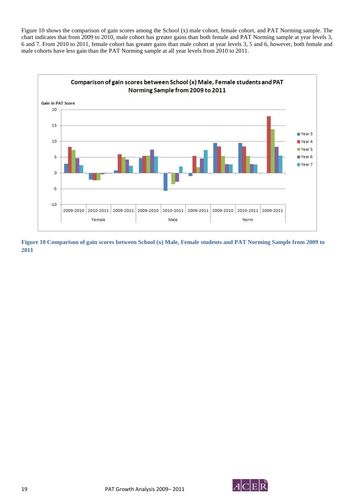Figure 10 shows the comparison of gain scores among the School (x) male cohort, female cohort, and PAT Norming sample. The chart indicates that from 2009 to 2010, male cohort has greater gains than both female and PAT Norming sample at year levels 3, 6 and 7. From 2010 to 2011, female cohort has greater gains than male cohort at year levels 3, 5 and 6, however, both female and male cohorts have less gain than the PAT Norming sample at all year levels from 2010 to 2011.



**Figure 10 Comparison of gain scores between School (x) Male, Female students and PAT Norming Sample from 2009 to 2011**